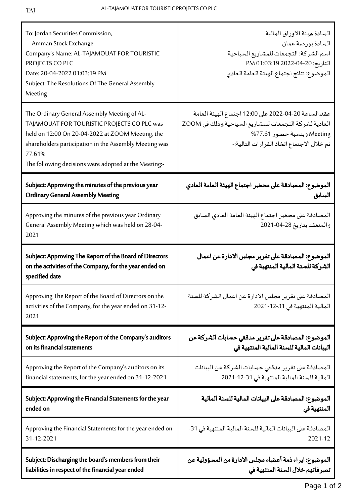| To: Jordan Securities Commission,<br>Amman Stock Exchange<br>Company's Name: AL-TAJAMOUAT FOR TOURISTIC<br>PROJECTS CO PLC<br>Date: 20-04-2022 01:03:19 PM<br>Subject: The Resolutions Of The General Assembly<br>Meeting                                                    | السادة ميئة الاوراق المالية<br>السادة بورصة عمان<br>اسم الشركة: التجمعات للمشاريع السياحية<br>التاريخ: 20-04-2022 01:03:19 PM<br>الموضوع: نتائج اجتماع الهيئة العامة العادي               |
|------------------------------------------------------------------------------------------------------------------------------------------------------------------------------------------------------------------------------------------------------------------------------|-------------------------------------------------------------------------------------------------------------------------------------------------------------------------------------------|
| The Ordinary General Assembly Meeting of AL-<br>TAJAMOUAT FOR TOURISTIC PROJECTS CO PLC was<br>held on 12:00 On 20-04-2022 at ZOOM Meeting, the<br>shareholders participation in the Assembly Meeting was<br>77.61%<br>The following decisions were adopted at the Meeting:- | عقد الساعة 20-04-2022 على 12:00 اجتماع الهيئة العامة<br>العادية لشركة التجمعات للمشاريع السياحية.وذلك في ZOOM<br>Meeting وبنسبة حضور 77.61%<br>تم خلال الاجتماع اتخاذ القر ارات التالية:- |
| Subject: Approving the minutes of the previous year                                                                                                                                                                                                                          | الموضوع: المصادقة على محضر اجتماع الهيئة العامة العادي                                                                                                                                    |
| <b>Ordinary General Assembly Meeting</b>                                                                                                                                                                                                                                     | السابق                                                                                                                                                                                    |
| Approving the minutes of the previous year Ordinary<br>General Assembly Meeting which was held on 28-04-<br>2021                                                                                                                                                             | المصادقة على محضر اجتماع الهيئة العامة العادي السابق<br>والمنعقد بتاريخ 28-04-2021                                                                                                        |
| Subject: Approving The Report of the Board of Directors<br>on the activities of the Company, for the year ended on<br>specified date                                                                                                                                         | الموضوع: المصادقة على تقرير مجلس الادارة عن اعمال<br>الشركة للسنة المالية المنتهية في                                                                                                     |
| Approving The Report of the Board of Directors on the<br>activities of the Company, for the year ended on 31-12-<br>2021                                                                                                                                                     | المصادقة على تقرير مجلس الادارة عن اعمال الشركة للسنة<br>المالية المنتهية في 31-12-2021                                                                                                   |
| Subject: Approving the Report of the Company's auditors                                                                                                                                                                                                                      | الموضوع: المصادقة على تقرير مدققي حسابات الشركة عن                                                                                                                                        |
| on its financial statements                                                                                                                                                                                                                                                  | البيانات المالية للسنة المالية المنتهية في                                                                                                                                                |
| Approving the Report of the Company's auditors on its                                                                                                                                                                                                                        | المصادقة على تقرير مدققي حسابات الشركة عن البيانات                                                                                                                                        |
| financial statements, for the year ended on 31-12-2021                                                                                                                                                                                                                       | المالية للسنة المالية المنتهية في 31-12-2021                                                                                                                                              |
| Subject: Approving the Financial Statements for the year                                                                                                                                                                                                                     | الموضوع: المصادقة على البيانات المالية للسنة المالية                                                                                                                                      |
| ended on                                                                                                                                                                                                                                                                     | المنتهية في                                                                                                                                                                               |
| Approving the Financial Statements for the year ended on                                                                                                                                                                                                                     | المصادقة على البيانات المالية للسنة المالية المنتهية في 31-                                                                                                                               |
| 31-12-2021                                                                                                                                                                                                                                                                   | 2021-12                                                                                                                                                                                   |
| Subject: Discharging the board's members from their                                                                                                                                                                                                                          | الموضوع: ابراء ذمة أعضاء مجلس الادارة من المسؤولية عن                                                                                                                                     |
| liabilities in respect of the financial year ended                                                                                                                                                                                                                           | تصرفاتهم خلال السنة المنتهية في                                                                                                                                                           |